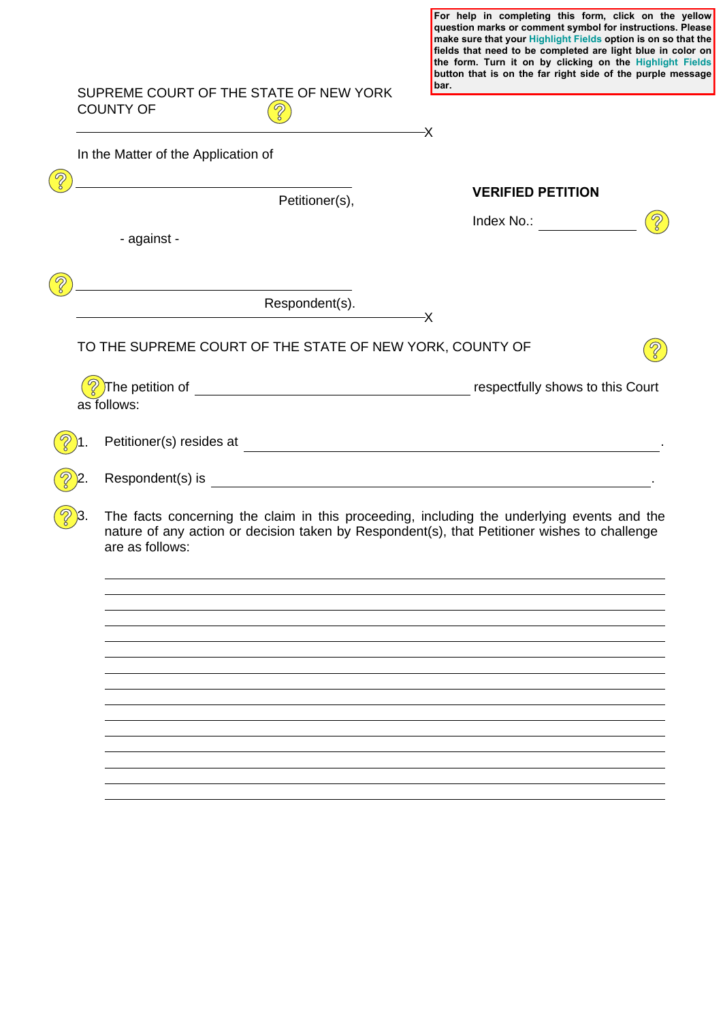**question marks or comment symbol for instructions. Please make sure that your Highlight Fields option is on so that the fields that need to be completed are light blue in color on the form. Turn it on by clicking on the Highlight Fields button that is on the far right side of the purple message bar.** SUPREME COURT OF THE STATE OF NEW YORK COUNTY OF  $\mathcal{D}$  $-\times$ In the Matter of the Application of  $\widehat{\mathcal{D}}$ **VERIFIED PETITION** Petitioner(s),  $\widehat{\mathcal{D}}$ Index No.: - against -  $\mathcal{D}$ Respondent(s). X TO THE SUPREME COURT OF THE STATE OF NEW YORK, COUNTY OF  $\mathcal{D}$ The petition of  $\begin{array}{|c|c|c|}\hline \end{array}$  respectfully shows to this Court as follows: Petitioner(s) resides at each of the state of the state of the state of the state of the state of the state of the state of the state of the state of the state of the state of the state of the state of the state of the sta . 2. Respondent(s) is . The facts concerning the claim in this proceeding, including the underlying events and the 3. nature of any action or decision taken by Respondent(s), that Petitioner wishes to challenge are as follows:

**For help in completing this form, click on the yellow**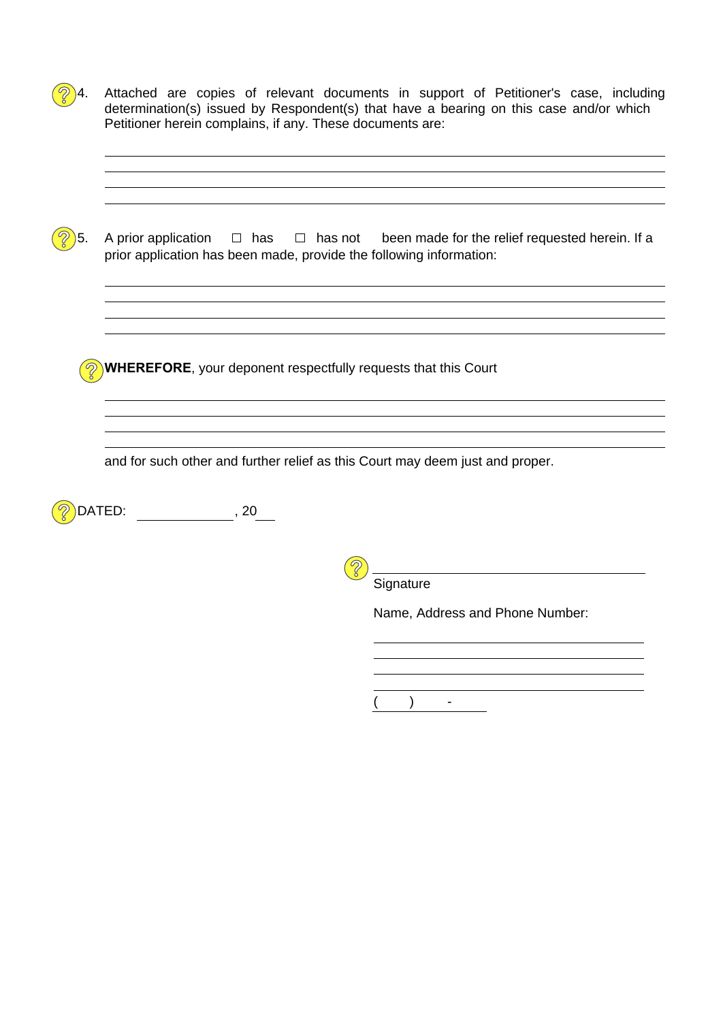| Attached are copies of relevant documents in support of Petitioner's case, including<br>determination(s) issued by Respondent(s) that have a bearing on this case and/or which<br>Petitioner herein complains, if any. These documents are: |
|---------------------------------------------------------------------------------------------------------------------------------------------------------------------------------------------------------------------------------------------|
| A prior application<br>been made for the relief requested herein. If a<br>$\Box$ has $\Box$ has not                                                                                                                                         |
| prior application has been made, provide the following information:                                                                                                                                                                         |
| <b>WHEREFORE, your deponent respectfully requests that this Court</b>                                                                                                                                                                       |
| and for such other and further relief as this Court may deem just and proper.                                                                                                                                                               |
| DATED:<br>, 20                                                                                                                                                                                                                              |

**8**<br>Signature

Name, Address and Phone Number:

 $\qquad \qquad$  ) -